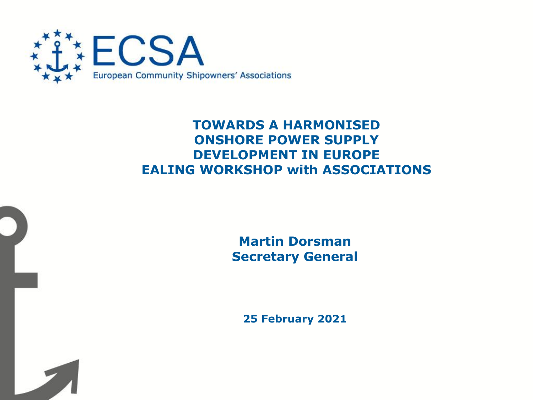

#### **TOWARDS A HARMONISED ONSHORE POWER SUPPLY DEVELOPMENT IN EUROPE EALING WORKSHOP with ASSOCIATIONS**

**Martin Dorsman Secretary General**

**25 February 2021**

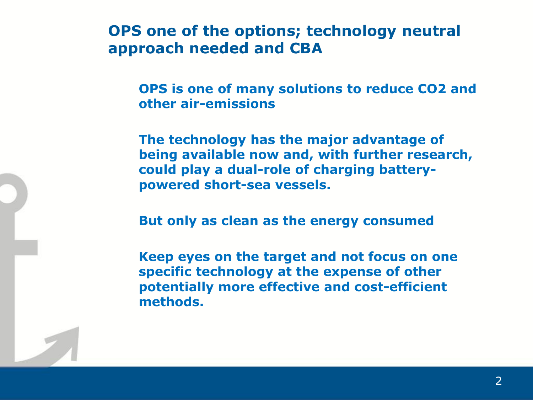**OPS one of the options; technology neutral approach needed and CBA**

**OPS is one of many solutions to reduce CO2 and other air-emissions** 

**The technology has the major advantage of being available now and, with further research, could play a dual-role of charging batterypowered short-sea vessels.** 

**But only as clean as the energy consumed** 

**Keep eyes on the target and not focus on one specific technology at the expense of other potentially more effective and cost-efficient methods.**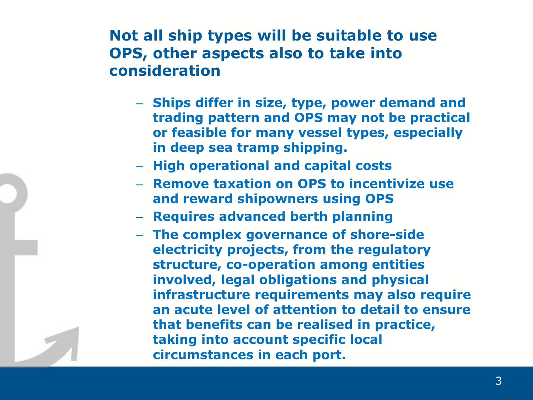## **Not all ship types will be suitable to use OPS, other aspects also to take into consideration**

- **Ships differ in size, type, power demand and trading pattern and OPS may not be practical or feasible for many vessel types, especially in deep sea tramp shipping.**
- **High operational and capital costs**
- **Remove taxation on OPS to incentivize use and reward shipowners using OPS**
- **Requires advanced berth planning**
- **The complex governance of shore-side electricity projects, from the regulatory structure, co-operation among entities involved, legal obligations and physical infrastructure requirements may also require an acute level of attention to detail to ensure that benefits can be realised in practice, taking into account specific local circumstances in each port.**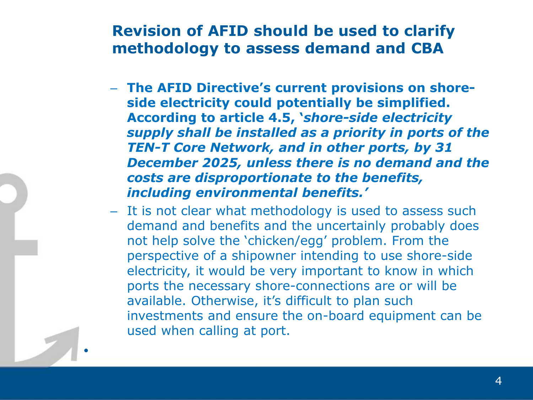### **Revision of AFID should be used to clarify methodology to assess demand and CBA**

- **The AFID Directive's current provisions on shoreside electricity could potentially be simplified. According to article 4.5, '***shore-side electricity supply shall be installed as a priority in ports of the TEN-T Core Network, and in other ports, by 31 December 2025, unless there is no demand and the costs are disproportionate to the benefits, including environmental benefits.'*
- It is not clear what methodology is used to assess such demand and benefits and the uncertainly probably does not help solve the 'chicken/egg' problem. From the perspective of a shipowner intending to use shore-side electricity, it would be very important to know in which ports the necessary shore-connections are or will be available. Otherwise, it's difficult to plan such investments and ensure the on-board equipment can be used when calling at port.

•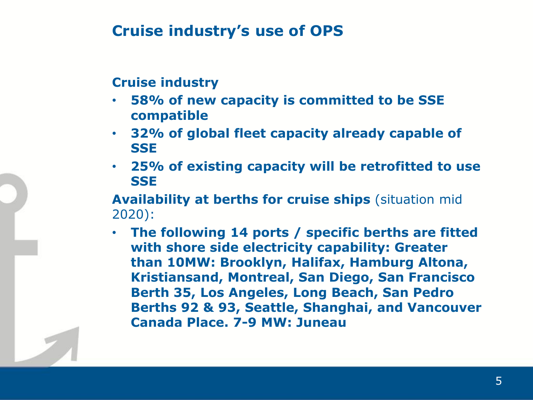## **Cruise industry's use of OPS**

#### **Cruise industry**

- **58% of new capacity is committed to be SSE compatible**
- **32% of global fleet capacity already capable of SSE**
- **25% of existing capacity will be retrofitted to use SSE**

**Availability at berths for cruise ships** (situation mid 2020):

• **The following 14 ports / specific berths are fitted with shore side electricity capability: Greater than 10MW: Brooklyn, Halifax, Hamburg Altona, Kristiansand, Montreal, San Diego, San Francisco Berth 35, Los Angeles, Long Beach, San Pedro Berths 92 & 93, Seattle, Shanghai, and Vancouver Canada Place. 7-9 MW: Juneau**